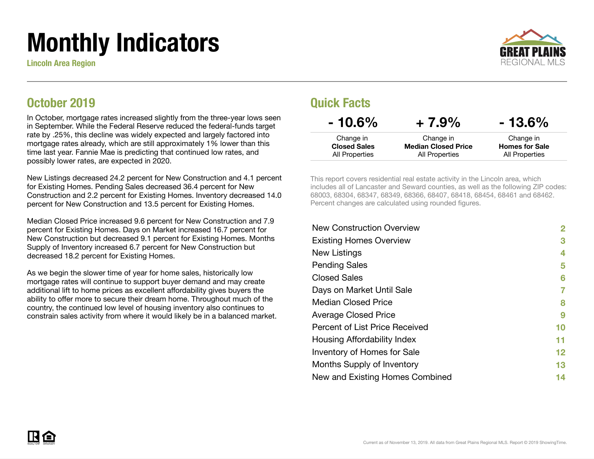# Monthly Indicators

Lincoln Area Region



### October 2019

In October, mortgage rates increased slightly from the three-year lows seen in September. While the Federal Reserve reduced the federal-funds target rate by .25%, this decline was widely expected and largely factored into mortgage rates already, which are still approximately 1% lower than this time last year. Fannie Mae is predicting that continued low rates, and possibly lower rates, are expected in 2020.

New Listings decreased 24.2 percent for New Construction and 4.1 percent for Existing Homes. Pending Sales decreased 36.4 percent for New Construction and 2.2 percent for Existing Homes. Inventory decreased 14.0 percent for New Construction and 13.5 percent for Existing Homes.

Median Closed Price increased 9.6 percent for New Construction and 7.9 percent for Existing Homes. Days on Market increased 16.7 percent for New Construction but decreased 9.1 percent for Existing Homes. Months Supply of Inventory increased 6.7 percent for New Construction but decreased 18.2 percent for Existing Homes.

As we begin the slower time of year for home sales, historically low mortgage rates will continue to support buyer demand and may create additional lift to home prices as excellent affordability gives buyers the ability to offer more to secure their dream home. Throughout much of the country, the continued low level of housing inventory also continues to constrain sales activity from where it would likely be in a balanced market.

### Quick Facts

| $-10.6\%$                             | $+7.9%$                                      | $-13.6\%$                               |
|---------------------------------------|----------------------------------------------|-----------------------------------------|
| Change in                             | Change in                                    | Change in                               |
| <b>Closed Sales</b><br>All Properties | <b>Median Closed Price</b><br>All Properties | <b>Homes for Sale</b><br>All Properties |

This report covers residential real estate activity in the Lincoln area, which includes all of Lancaster and Seward counties, as well as the following ZIP codes: 68003, 68304, 68347, 68349, 68366, 68407, 68418, 68454, 68461 and 68462. Percent changes are calculated using rounded figures.

| <b>New Construction Overview</b> | 2       |
|----------------------------------|---------|
| <b>Existing Homes Overview</b>   | 3       |
| New Listings                     | 4       |
| <b>Pending Sales</b>             | 5       |
| <b>Closed Sales</b>              | 6       |
| Days on Market Until Sale        | 7       |
| <b>Median Closed Price</b>       | 8       |
| <b>Average Closed Price</b>      | 9       |
| Percent of List Price Received   | 10      |
| Housing Affordability Index      | 11      |
| Inventory of Homes for Sale      | $12 \,$ |
| Months Supply of Inventory       | 13      |
| New and Existing Homes Combined  | 14      |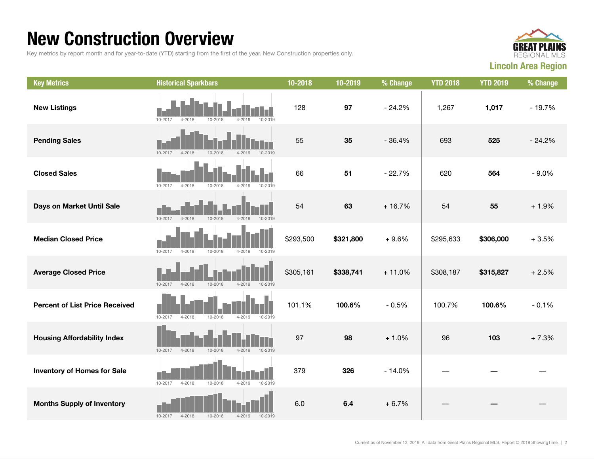### New Construction Overview

Key metrics by report month and for year-to-date (YTD) starting from the first of the year. New Construction properties only.



| <b>Key Metrics</b>                    | <b>Historical Sparkbars</b>                                   | 10-2018   | 10-2019   | % Change | <b>YTD 2018</b> | <b>YTD 2019</b> | % Change |
|---------------------------------------|---------------------------------------------------------------|-----------|-----------|----------|-----------------|-----------------|----------|
| <b>New Listings</b>                   | 10-2019<br>$4 - 2019$<br>10-2017<br>$4 - 2018$<br>10-2018     | 128       | 97        | $-24.2%$ | 1,267           | 1,017           | $-19.7%$ |
| <b>Pending Sales</b>                  | 10-2017<br>$4 - 2018$<br>10-2018<br>$4 - 2019$<br>10-2019     | 55        | 35        | $-36.4%$ | 693             | 525             | $-24.2%$ |
| <b>Closed Sales</b>                   | 10-2017<br>$4 - 2018$<br>10-2018<br>$4 - 2019$<br>10-2019     | 66        | 51        | $-22.7%$ | 620             | 564             | $-9.0%$  |
| Days on Market Until Sale             | 10-2018<br>$4 - 2019$<br>$10 - 2019$<br>10-2017<br>$4 - 2018$ | 54        | 63        | $+16.7%$ | 54              | 55              | $+1.9%$  |
| <b>Median Closed Price</b>            | 10-2017<br>$4 - 2018$<br>10-2018<br>$4 - 2019$<br>10-2019     | \$293,500 | \$321,800 | $+9.6%$  | \$295,633       | \$306,000       | $+3.5%$  |
| <b>Average Closed Price</b>           | $10 - 2017$<br>10-2018<br>$4 - 2019$<br>10-2019<br>4-2018     | \$305,161 | \$338,741 | $+11.0%$ | \$308,187       | \$315,827       | $+2.5%$  |
| <b>Percent of List Price Received</b> | $10 - 2017$<br>$4 - 2018$<br>10-2018<br>$4 - 2019$<br>10-2019 | 101.1%    | 100.6%    | $-0.5%$  | 100.7%          | 100.6%          | $-0.1%$  |
| <b>Housing Affordability Index</b>    | 10-2017<br>4-2018<br>10-2018<br>4-2019<br>10-2019             | 97        | 98        | $+1.0%$  | 96              | 103             | $+7.3%$  |
| <b>Inventory of Homes for Sale</b>    | 10-2017<br>4-2018<br>10-2018<br>4-2019<br>10-2019             | 379       | 326       | $-14.0%$ |                 |                 |          |
| <b>Months Supply of Inventory</b>     | 10-2017<br>4-2018<br>10-2018<br>$4 - 2019$<br>10-2019         | 6.0       | 6.4       | $+6.7%$  |                 |                 |          |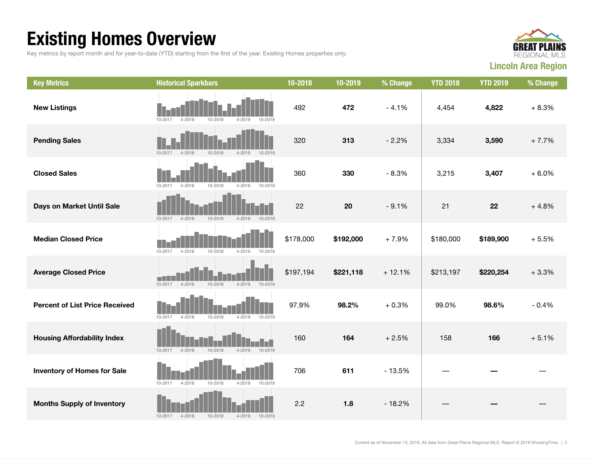## Existing Homes Overview

Key metrics by report month and for year-to-date (YTD) starting from the first of the year. Existing Homes properties only.



| <b>Key Metrics</b>                    | <b>Historical Sparkbars</b>                                         | 10-2018   | 10-2019   | % Change | <b>YTD 2018</b> | <b>YTD 2019</b> | % Change |
|---------------------------------------|---------------------------------------------------------------------|-----------|-----------|----------|-----------------|-----------------|----------|
| <b>New Listings</b>                   | $4 - 2019$<br>10-2019<br>10-2017<br>4-2018<br>10-2018               | 492       | 472       | $-4.1%$  | 4,454           | 4,822           | $+8.3%$  |
| <b>Pending Sales</b>                  | 10-2017<br>$4 - 2018$<br>10-2018<br>$4 - 2019$<br>10-2019           | 320       | 313       | $-2.2%$  | 3,334           | 3,590           | $+7.7%$  |
| <b>Closed Sales</b>                   | 10-2017<br>$4 - 2018$<br>10-2018<br>$4 - 2019$<br>10-2019           | 360       | 330       | $-8.3%$  | 3,215           | 3,407           | $+6.0%$  |
| Days on Market Until Sale             | $4 - 2018$<br>10-2018<br>$4 - 2019$<br>10-2019<br>10-2017           | 22        | 20        | $-9.1%$  | 21              | 22              | $+4.8%$  |
| <b>Median Closed Price</b>            | 10-2017<br>$4 - 2018$<br>10-2018<br>4-2019<br>10-2019               | \$178,000 | \$192,000 | $+7.9%$  | \$180,000       | \$189,900       | $+5.5%$  |
| <b>Average Closed Price</b>           | m.<br>$10 - 2017$<br>$4 - 2018$<br>10-2018<br>$4 - 2019$<br>10-2019 | \$197,194 | \$221,118 | $+12.1%$ | \$213,197       | \$220,254       | $+3.3%$  |
| <b>Percent of List Price Received</b> | 10-2017<br>$4 - 2018$<br>10-2018<br>$4 - 2019$<br>10-2019           | 97.9%     | 98.2%     | $+0.3%$  | 99.0%           | 98.6%           | $-0.4%$  |
| <b>Housing Affordability Index</b>    | 10-2017<br>10-2018<br>$4 - 2019$<br>10-2019<br>$4 - 2018$           | 160       | 164       | $+2.5%$  | 158             | 166             | $+5.1%$  |
| <b>Inventory of Homes for Sale</b>    | 10-2017<br>$4 - 2018$<br>10-2018<br>4-2019<br>10-2019               | 706       | 611       | $-13.5%$ |                 |                 |          |
| <b>Months Supply of Inventory</b>     | $4 - 2018$<br>10-2017<br>10-2018<br>4-2019<br>10-2019               | 2.2       | $1.8$     | $-18.2%$ |                 |                 |          |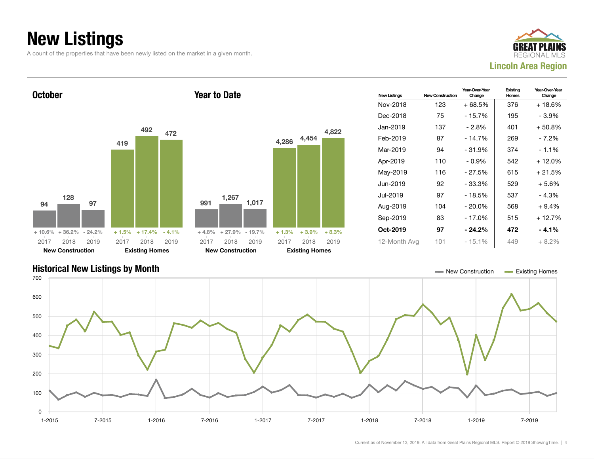## New Listings

A count of the properties that have been newly listed on the market in a given month.







Current as of November 13, 2019. All data from Great Plains Regional MLS. Report © 2019 ShowingTime. | 4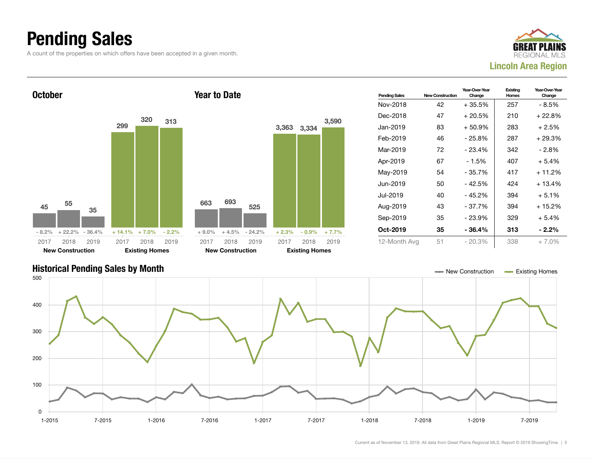### Pending Sales

A count of the properties on which offers have been accepted in a given month.





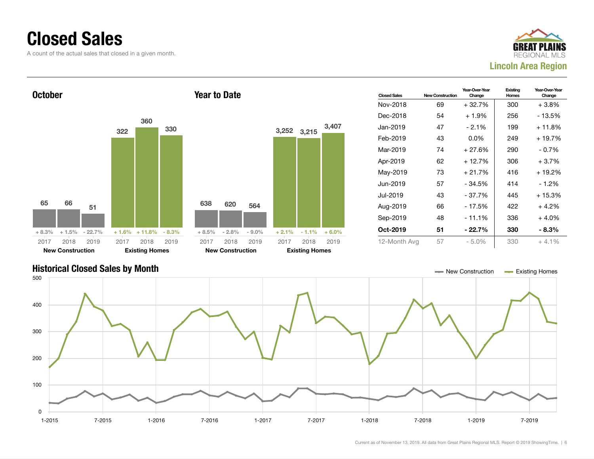### Closed Sales

A count of the actual sales that closed in a given month.





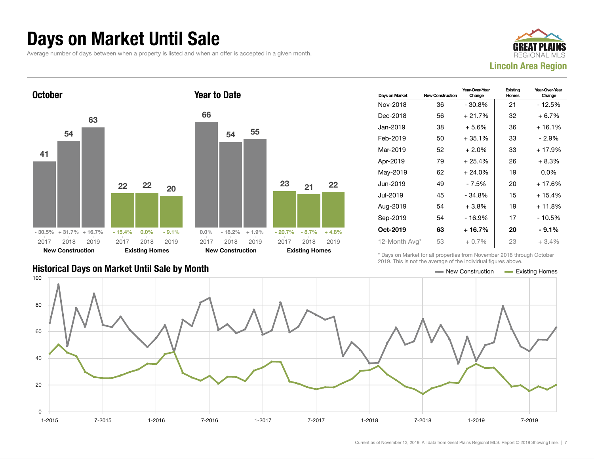### Days on Market Until Sale

Average number of days between when a property is listed and when an offer is accepted in a given month.





| Days on Market | <b>New Construction</b> | Year-Over-Year<br>Change | Existing<br>Homes | Year-Over-Year<br>Change |
|----------------|-------------------------|--------------------------|-------------------|--------------------------|
| Nov-2018       | 36                      | - 30.8%                  | 21                | - 12.5%                  |
| Dec-2018       | 56                      | $+21.7%$                 | 32                | $+6.7%$                  |
| Jan-2019       | 38                      | $+5.6\%$                 | 36                | $+16.1%$                 |
| Feb-2019       | 50                      | $+35.1%$                 | 33                | - 2.9%                   |
| Mar-2019       | 52                      | $+2.0\%$                 | 33                | + 17.9%                  |
| Apr-2019       | 79                      | $+25.4%$                 | 26                | $+8.3%$                  |
| May-2019       | 62                      | $+24.0%$                 | 19                | $0.0\%$                  |
| Jun-2019       | 49                      | - 7.5%                   | 20                | + 17.6%                  |
| Jul-2019       | 45                      | - 34.8%                  | 15                | $+15.4%$                 |
| Aug-2019       | 54                      | $+3.8%$                  | 19                | $+11.8%$                 |
| Sep-2019       | 54                      | - 16.9%                  | 17                | $-10.5%$                 |
| Oct-2019       | 63                      | $+16.7%$                 | 20                | $-9.1\%$                 |
| 12-Month Avg*  | 53                      | $+0.7%$                  | 23                | +3.4%                    |

### Historical Days on Market Until Sale by Month  $\blacksquare$  New Construction  $\blacksquare$  Existing Homes

\* Days on Market for all properties from November 2018 through October 2019. This is not the average of the individual figures above.

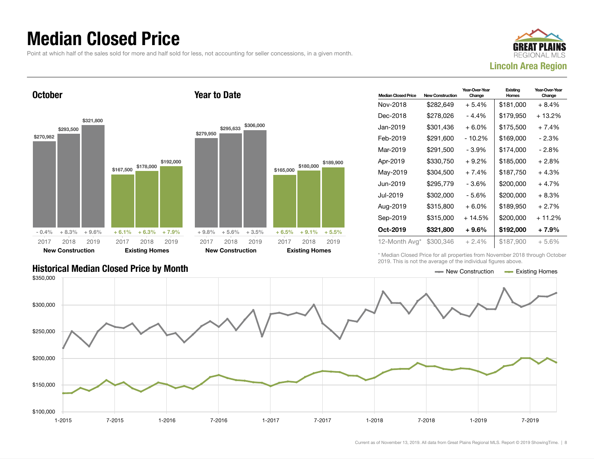### Median Closed Price

Point at which half of the sales sold for more and half sold for less, not accounting for seller concessions, in a given month.



**October** \$270,982 \$293,500 \$321,800  $-0.4\%$   $+8.3\%$   $+9.6\%$ \$167,500 \$178,000 \$192,000  $+ 6.1\% +$ 2017 New Construction 2018 2019 2017 Existing 2018 2019 Year to Date \$279,950 \$295,633 \$306,000 + 9.8% + 5.6% + 3.5% 2017 New Construction

| <b>Median Closed Price</b> | <b>New Construction</b> | Year-Over-Year<br>Change | Existing<br><b>Homes</b> | Year-Over-Year<br>Change |
|----------------------------|-------------------------|--------------------------|--------------------------|--------------------------|
| Nov-2018                   | \$282,649               | $+5.4%$                  | \$181,000                | $+8.4%$                  |
| Dec-2018                   | \$278,026               | - 4.4%                   | \$179,950                | + 13.2%                  |
| Jan-2019                   | \$301,436               | $+6.0\%$                 | \$175,500                | $+7.4%$                  |
| Feb-2019                   | \$291,600               | - 10.2%                  | \$169,000                | $-2.3%$                  |
| Mar-2019                   | \$291,500               | - 3.9%                   | \$174,000                | - 2.8%                   |
| Apr-2019                   | \$330,750               | $+9.2\%$                 | \$185,000                | $+2.8%$                  |
| May-2019                   | \$304,500               | $+7.4%$                  | \$187,750                | $+4.3%$                  |
| Jun-2019                   | \$295,779               | - 3.6%                   | \$200,000                | $+4.7%$                  |
| Jul-2019                   | \$302,000               | - 5.6%                   | \$200,000                | $+8.3%$                  |
| Aug-2019                   | \$315,800               | $+6.0%$                  | \$189,950                | $+2.7%$                  |
| Sep-2019                   | \$315,000               | $+14.5%$                 | \$200,000                | $+11.2%$                 |
| Oct-2019                   | \$321,800               | $+9.6\%$                 | \$192,000                | $+7.9%$                  |
| 12-Month Avg*              | \$300,346               | $+2.4%$                  | \$187,900                | $+5.6%$                  |

\* Median Closed Price for all properties from November 2018 through October 2019. This is not the average of the individual figures above.

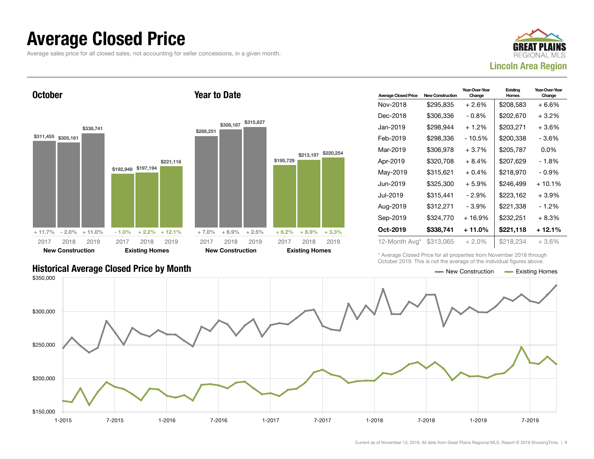### Average Closed Price

Average sales price for all closed sales, not accounting for seller concessions, in a given month.



**October** 



Year to Date

| <b>Average Closed Price</b> | <b>New Construction</b> | Year-Over-Year<br>Change | Existing<br><b>Homes</b> | Year-Over-Year<br>Change |
|-----------------------------|-------------------------|--------------------------|--------------------------|--------------------------|
| Nov-2018                    | \$295,835               | $+2.6%$                  | \$208,583                | $+6.6%$                  |
| Dec-2018                    | \$306.336               | - 0.8%                   | \$202,670                | $+3.2%$                  |
| Jan-2019                    | \$298,944               | $+1.2%$                  | \$203,271                | $+3.6%$                  |
| Feb-2019                    | \$298,336               | - 10.5%                  | \$200,338                | - 3.6%                   |
| Mar-2019                    | \$306,978               | $+3.7%$                  | \$205,787                | $0.0\%$                  |
| Apr-2019                    | \$320,708               | $+8.4%$                  | \$207.629                | - 1.8%                   |
| May-2019                    | \$315,621               | $+0.4%$                  | \$218,970                | - 0.9%                   |
| Jun-2019                    | \$325.300               | $+5.9\%$                 | \$246.499                | $+10.1\%$                |
| Jul-2019                    | \$315,441               | - 2.9%                   | \$223,162                | $+3.9\%$                 |
| Aug-2019                    | \$312,271               | - 3.9%                   | \$221,338                | - 1.2%                   |
| Sep-2019                    | \$324,770               | $+16.9%$                 | \$232,251                | $+8.3%$                  |
| Oct-2019                    | \$338,741               | + 11.0%                  | \$221,118                | + 12.1%                  |
| 12-Month Avg*               | \$313,065               | $+2.0\%$                 | \$218.234                | $+3.6%$                  |

\* Average Closed Price for all properties from November 2018 through October 2019. This is not the average of the individual figures above.



### Historical Average Closed Price by Month  $\blacksquare$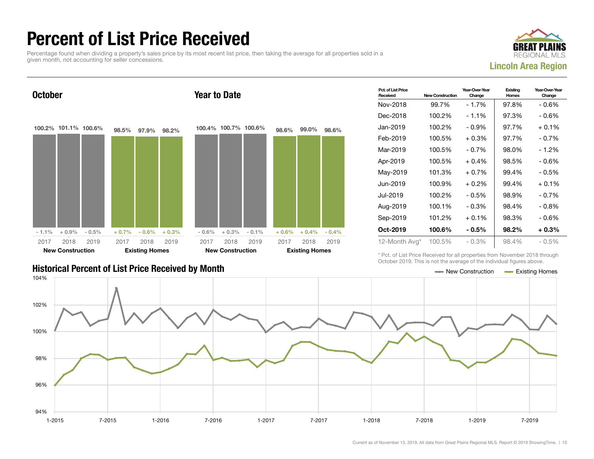### Percent of List Price Received

Percentage found when dividing a property's sales price by its most recent list price, then taking the average for all properties sold in a given month, not accounting for seller concessions.





| <b>Historical Percent of List Price Received by Month</b> | — New Construction | <b>Existing Homes</b> |
|-----------------------------------------------------------|--------------------|-----------------------|

| Pct. of List Price<br>Received | <b>New Construction</b> | Year-Over-Year<br>Change | Existing<br>Homes | Year-Over-Year<br>Change |
|--------------------------------|-------------------------|--------------------------|-------------------|--------------------------|
| Nov-2018                       | 99.7%                   | - 1.7%                   | 97.8%             | - 0.6%                   |
| Dec-2018                       | 100.2%                  | $-1.1%$                  | 97.3%             | - 0.6%                   |
| Jan-2019                       | 100.2%                  | $-0.9%$                  | 97.7%             | $+0.1\%$                 |
| Feb-2019                       | 100.5%                  | $+0.3%$                  | 97.7%             | $-0.7\%$                 |
| Mar-2019                       | 100.5%                  | $-0.7\%$                 | 98.0%             | - 1.2%                   |
| Apr-2019                       | 100.5%                  | $+0.4%$                  | 98.5%             | $-0.6%$                  |
| May-2019                       | 101.3%                  | $+0.7%$                  | 99.4%             | $-0.5%$                  |
| Jun-2019                       | 100.9%                  | $+0.2\%$                 | 99.4%             | $+0.1%$                  |
| Jul-2019                       | 100.2%                  | $-0.5%$                  | 98.9%             | $-0.7%$                  |
| Aug-2019                       | 100.1%                  | $-0.3%$                  | 98.4%             | $-0.8%$                  |
| Sep-2019                       | 101.2%                  | $+0.1\%$                 | 98.3%             | - 0.6%                   |
| Oct-2019                       | 100.6%                  | $-0.5\%$                 | 98.2%             | + 0.3%                   |
| 12-Month Avg*                  | 100.5%                  | $-0.3\%$                 | 98.4%             | $-0.5\%$                 |

\* Pct. of List Price Received for all properties from November 2018 through October 2019. This is not the average of the individual figures above.

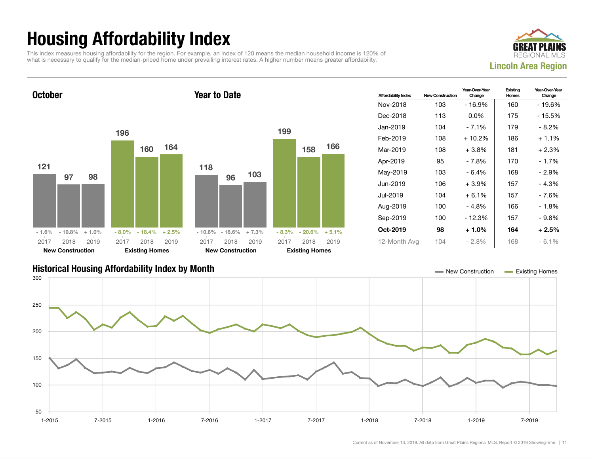## Housing Affordability Index

This index measures housing affordability for the region. For example, an index of 120 means the median household income is 120% of what is necessary to qualify for the median-priced home under prevailing interest rates. A higher number means greater affordability.





| <b>Affordability Index</b> | <b>New Construction</b> | Year-Over-Year<br>Change | Existing<br>Homes | Year-Over-Year<br>Change |
|----------------------------|-------------------------|--------------------------|-------------------|--------------------------|
| Nov-2018                   | 103                     | - 16.9%                  | 160               | - 19.6%                  |
| Dec-2018                   | 113                     | $0.0\%$                  | 175               | - 15.5%                  |
| Jan-2019                   | 104                     | $-7.1%$                  | 179               | - 8.2%                   |
| Feb-2019                   | 108                     | + 10.2%                  | 186               | $+1.1\%$                 |
| Mar-2019                   | 108                     | $+3.8\%$                 | 181               | $+2.3%$                  |
| Apr-2019                   | 95                      | - 7.8%                   | 170               | - 1.7%                   |
| May-2019                   | 103                     | $-6.4%$                  | 168               | - 2.9%                   |
| Jun-2019                   | 106                     | $+3.9%$                  | 157               | $-4.3%$                  |
| Jul-2019                   | 104                     | $+6.1%$                  | 157               | - 7.6%                   |
| Aug-2019                   | 100                     | $-4.8%$                  | 166               | $-1.8%$                  |
| Sep-2019                   | 100                     | - 12.3%                  | 157               | - 9.8%                   |
| Oct-2019                   | 98                      | $+1.0%$                  | 164               | $+2.5%$                  |
| 12-Month Avg               | 104                     | - 2.8%                   | 168               | $-6.1%$                  |

### Historical Housing Affordability Index by Month New Construction Existing Homes

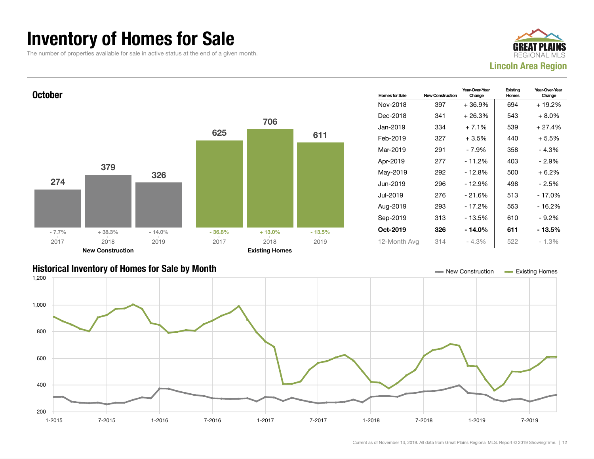### Inventory of Homes for Sale

The number of properties available for sale in active status at the end of a given month.





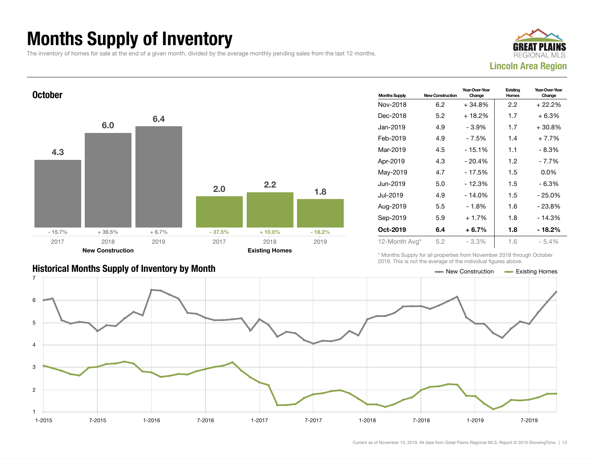## Months Supply of Inventory

The inventory of homes for sale at the end of a given month, divided by the average monthly pending sales from the last 12 months.





| <b>Months Supply</b> | <b>New Construction</b> | Year-Over-Year<br>Change | Existing<br>Homes | Year-Over-Year<br>Change |
|----------------------|-------------------------|--------------------------|-------------------|--------------------------|
| Nov-2018             | 6.2                     | $+34.8%$                 | 2.2               | + 22.2%                  |
| Dec-2018             | 5.2                     | $+18.2%$                 | 1.7               | $+6.3%$                  |
| Jan-2019             | 4.9                     | - 3.9%                   | 1.7               | $+30.8\%$                |
| Feb-2019             | 4.9                     | - 7.5%                   | 1.4               | $+7.7%$                  |
| Mar-2019             | 4.5                     | $-15.1%$                 | 1.1               | - 8.3%                   |
| Apr-2019             | 4.3                     | $-20.4%$                 | 1.2 <sub>2</sub>  | - 7.7%                   |
| May-2019             | 4.7                     | $-17.5%$                 | 1.5               | $0.0\%$                  |
| Jun-2019             | 5.0                     | $-12.3%$                 | 1.5               | $-6.3%$                  |
| Jul-2019             | 4.9                     | $-14.0%$                 | 1.5               | - 25.0%                  |
| Aug-2019             | 5.5                     | $-1.8%$                  | 1.6               | $-23.8%$                 |
| Sep-2019             | 5.9                     | $+1.7%$                  | 1.8               | $-14.3%$                 |
| Oct-2019             | 6.4                     | $+6.7%$                  | 1.8               | - 18.2%                  |
| 12-Month Avg*        | 5.2                     | $-3.3\%$                 | 1.6               | - 5.4%                   |

\* Months Supply for all properties from November 2018 through October 2019. This is not the average of the individual figures above.